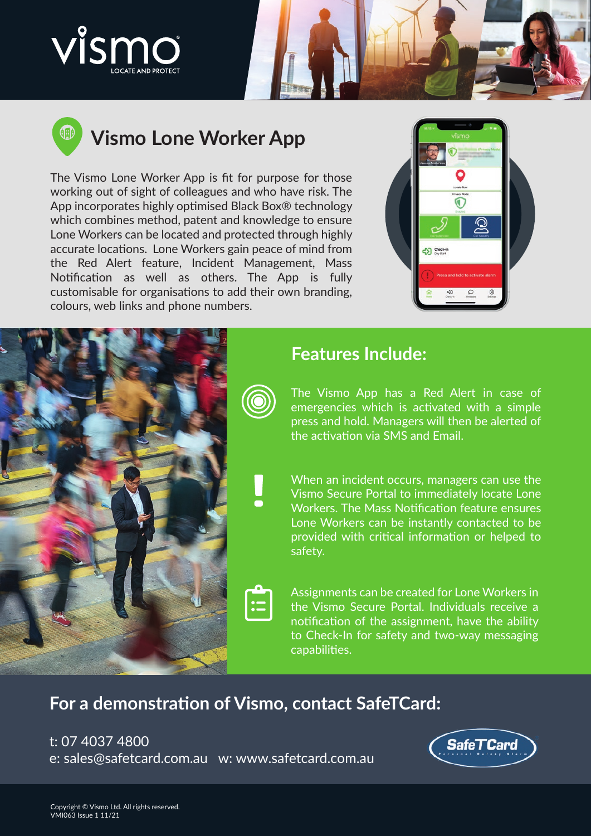





# **Vismo Lone Worker App**

The Vismo Lone Worker App is fit for purpose for those working out of sight of colleagues and who have risk. The App incorporates highly optimised Black Box® technology which combines method, patent and knowledge to ensure Lone Workers can be located and protected through highly accurate locations. Lone Workers gain peace of mind from the Red Alert feature, Incident Management, Mass Notification as well as others. The App is fully customisable for organisations to add their own branding, colours, web links and phone numbers.





#### **Features Include:**

The Vismo App has a Red Alert in case of emergencies which is activated with a simple press and hold. Managers will then be alerted of the activation via SMS and Email.

When an incident occurs, managers can use the Vismo Secure Portal to immediately locate Lone Workers. The Mass Notification feature ensures Lone Workers can be instantly contacted to be provided with critical information or helped to

Assignments can be created for Lone Workers in the Vismo Secure Portal. Individuals receive a notification of the assignment, have the ability to Check-In for safety and two-way messaging capabilities.

## **For a demonstration of Vismo, contact SafeTCard:**

t: 07 4037 4800

e: sales@safetcard.com.au w: www.safetcard.com.au